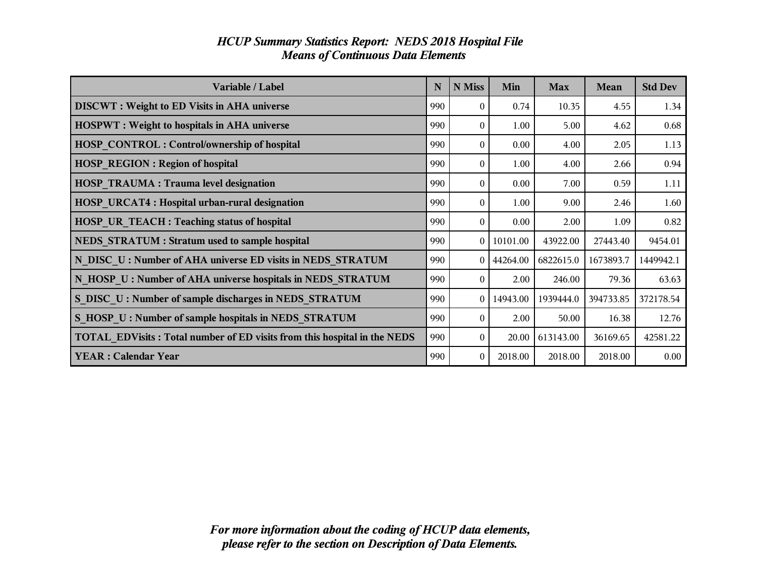| Variable / Label                                                         | N   | N Miss   | Min            | <b>Max</b> | Mean      | <b>Std Dev</b> |
|--------------------------------------------------------------------------|-----|----------|----------------|------------|-----------|----------------|
| <b>DISCWT</b> : Weight to ED Visits in AHA universe                      | 990 | $\Omega$ | 0.74           | 10.35      | 4.55      | 1.34           |
| <b>HOSPWT</b> : Weight to hospitals in AHA universe                      | 990 | $\theta$ | 1.00           | 5.00       | 4.62      | 0.68           |
| <b>HOSP CONTROL: Control/ownership of hospital</b>                       | 990 | $\Omega$ | 0.00           | 4.00       | 2.05      | 1.13           |
| <b>HOSP REGION: Region of hospital</b>                                   | 990 | $\Omega$ | 1.00           | 4.00       | 2.66      | 0.94           |
| <b>HOSP TRAUMA: Trauma level designation</b>                             | 990 | $\Omega$ | 0.00           | 7.00       | 0.59      | 1.11           |
| <b>HOSP URCAT4: Hospital urban-rural designation</b>                     | 990 | $\Omega$ | 1.00           | 9.00       | 2.46      | 1.60           |
| HOSP UR TEACH : Teaching status of hospital                              | 990 | 0        | 0.00           | 2.00       | 1.09      | 0.82           |
| NEDS STRATUM : Stratum used to sample hospital                           | 990 |          | $0$   10101.00 | 43922.00   | 27443.40  | 9454.01        |
| N DISC U: Number of AHA universe ED visits in NEDS STRATUM               | 990 |          | 0   44264.00   | 6822615.0  | 1673893.7 | 1449942.1      |
| N HOSP U: Number of AHA universe hospitals in NEDS STRATUM               | 990 | 0        | 2.00           | 246.00     | 79.36     | 63.63          |
| S DISC U: Number of sample discharges in NEDS STRATUM                    | 990 |          | $0$   14943.00 | 1939444.0  | 394733.85 | 372178.54      |
| S HOSP U: Number of sample hospitals in NEDS STRATUM                     | 990 | $\theta$ | 2.00           | 50.00      | 16.38     | 12.76          |
| TOTAL EDVisits: Total number of ED visits from this hospital in the NEDS | 990 | $\Omega$ | 20.00          | 613143.00  | 36169.65  | 42581.22       |
| <b>YEAR: Calendar Year</b>                                               | 990 | $\theta$ | 2018.00        | 2018.00    | 2018.00   | 0.00           |

## *HCUP Summary Statistics Report: NEDS 2018 Hospital File Means of Continuous Data Elements*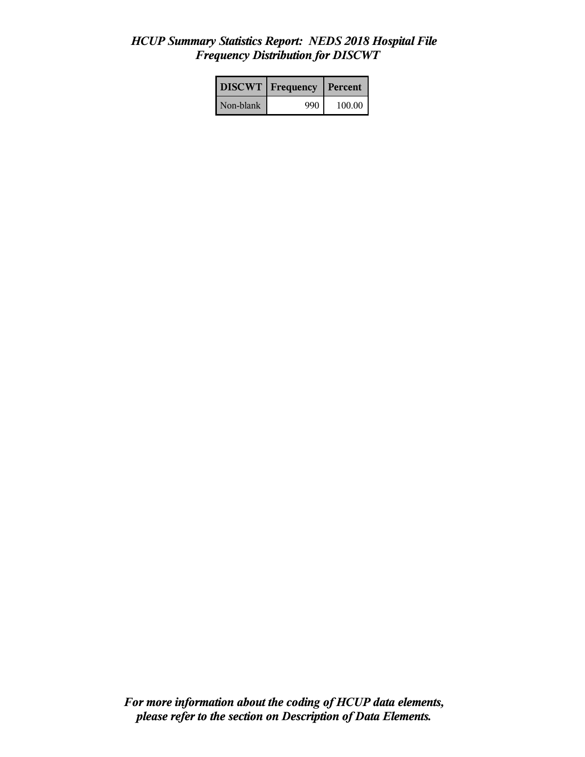## *HCUP Summary Statistics Report: NEDS 2018 Hospital File Frequency Distribution for DISCWT*

|           | <b>DISCWT</b>   Frequency | Percent |
|-----------|---------------------------|---------|
| Non-blank | 990                       | 100.00  |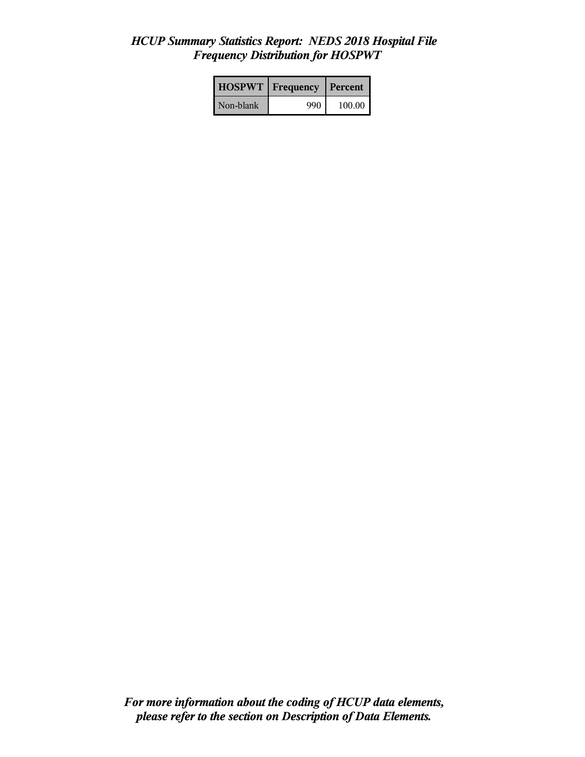## *HCUP Summary Statistics Report: NEDS 2018 Hospital File Frequency Distribution for HOSPWT*

| <b>HOSPWT</b>   Frequency |     | Percent |
|---------------------------|-----|---------|
| Non-blank                 | 990 | 100.00  |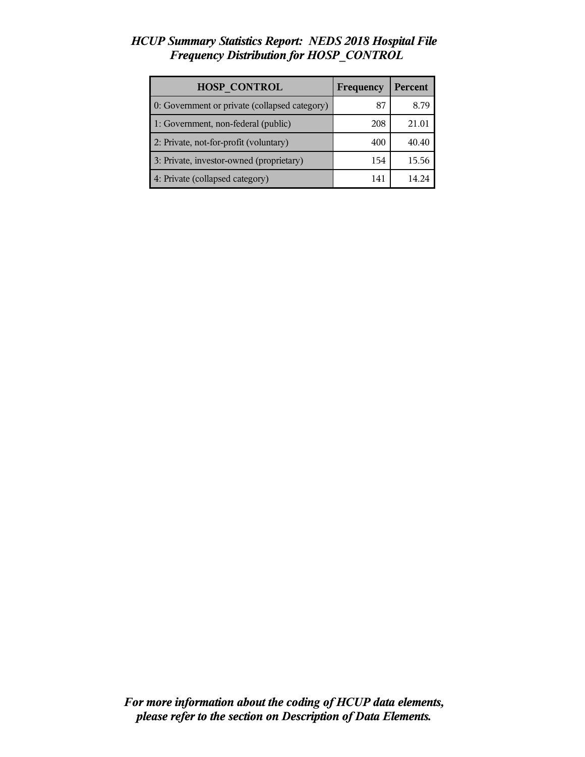### *HCUP Summary Statistics Report: NEDS 2018 Hospital File Frequency Distribution for HOSP\_CONTROL*

| <b>HOSP CONTROL</b>                           | Frequency | <b>Percent</b> |
|-----------------------------------------------|-----------|----------------|
| 0: Government or private (collapsed category) | 87        | 8.79           |
| 1: Government, non-federal (public)           | 208       | 21.01          |
| 2: Private, not-for-profit (voluntary)        | 400       | 40.40          |
| 3: Private, investor-owned (proprietary)      | 154       | 15.56          |
| 4: Private (collapsed category)               | 141       |                |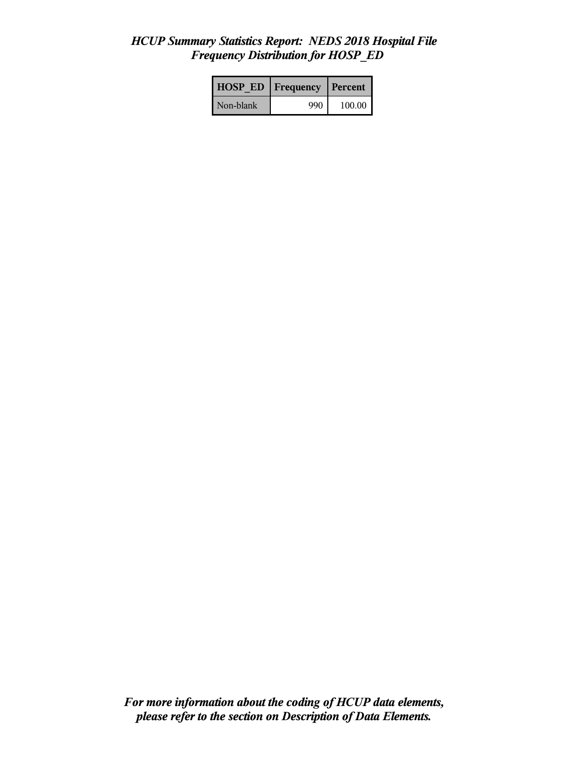#### *HCUP Summary Statistics Report: NEDS 2018 Hospital File Frequency Distribution for HOSP\_ED*

| <b>HOSP ED</b> | <b>Frequency</b> | l Percent |
|----------------|------------------|-----------|
| Non-blank      | 990              | 100.00    |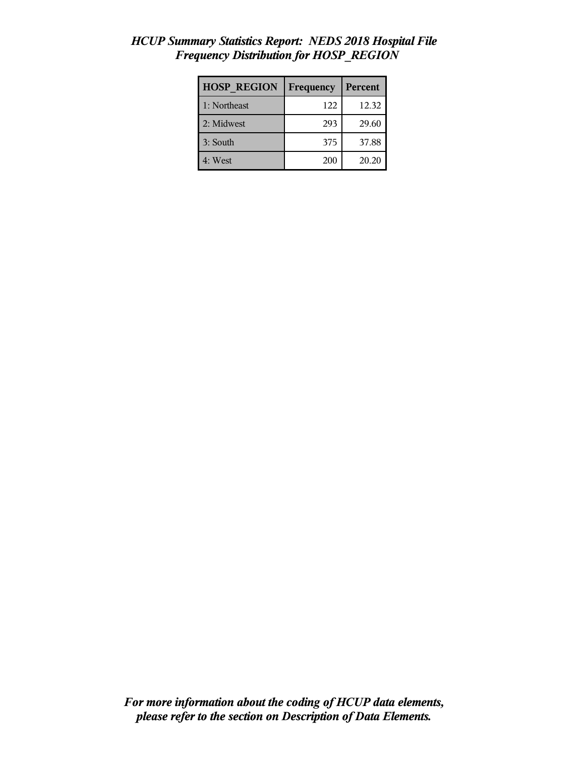| <b>HOSP REGION</b> | Frequency | Percent |
|--------------------|-----------|---------|
| 1: Northeast       | 122       | 12.32   |
| 2: Midwest         | 293       | 29.60   |
| 3: South           | 375       | 37.88   |
| 4: West            | 200       | 20.20   |

## *HCUP Summary Statistics Report: NEDS 2018 Hospital File Frequency Distribution for HOSP\_REGION*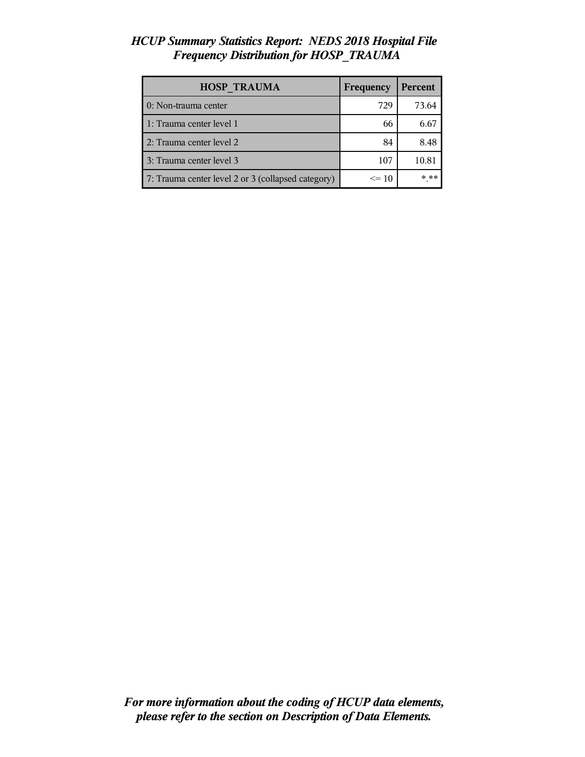## *HCUP Summary Statistics Report: NEDS 2018 Hospital File Frequency Distribution for HOSP\_TRAUMA*

| <b>HOSP TRAUMA</b>                                 | Frequency | Percent |
|----------------------------------------------------|-----------|---------|
| 0: Non-trauma center                               | 729       | 73.64   |
| 1: Trauma center level 1                           | 66        | 6.67    |
| 2: Trauma center level 2                           | 84        | 8.48    |
| 3: Trauma center level 3                           | 107       | 10.81   |
| 7: Trauma center level 2 or 3 (collapsed category) | $\leq$ 10 | $***$   |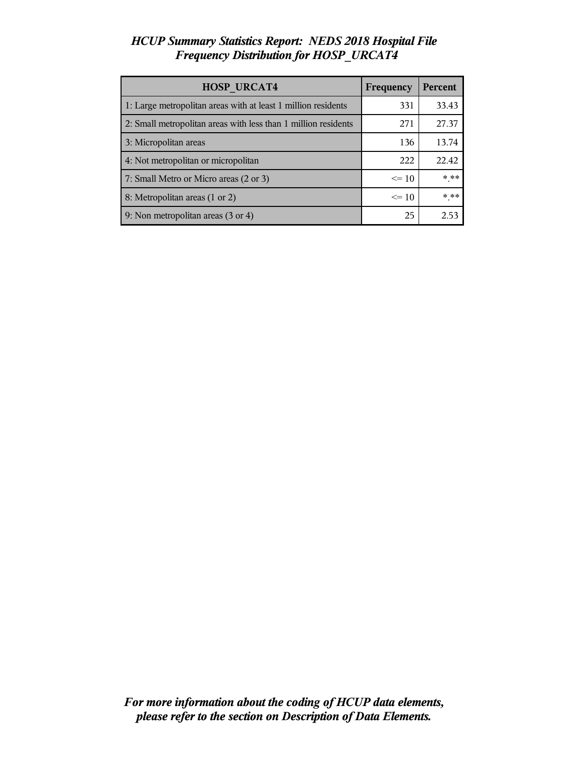## *HCUP Summary Statistics Report: NEDS 2018 Hospital File Frequency Distribution for HOSP\_URCAT4*

| <b>HOSP URCAT4</b>                                             | Frequency | Percent |
|----------------------------------------------------------------|-----------|---------|
| 1: Large metropolitan areas with at least 1 million residents  | 331       | 33.43   |
| 2: Small metropolitan areas with less than 1 million residents | 271       | 27.37   |
| 3: Micropolitan areas                                          | 136       | 13.74   |
| 4: Not metropolitan or micropolitan                            | 222       | 22.42   |
| 7: Small Metro or Micro areas (2 or 3)                         | $\leq 10$ | $***$   |
| 8: Metropolitan areas (1 or 2)                                 | $\leq 10$ | * **    |
| 9: Non metropolitan areas (3 or 4)                             | 25        | 2.53    |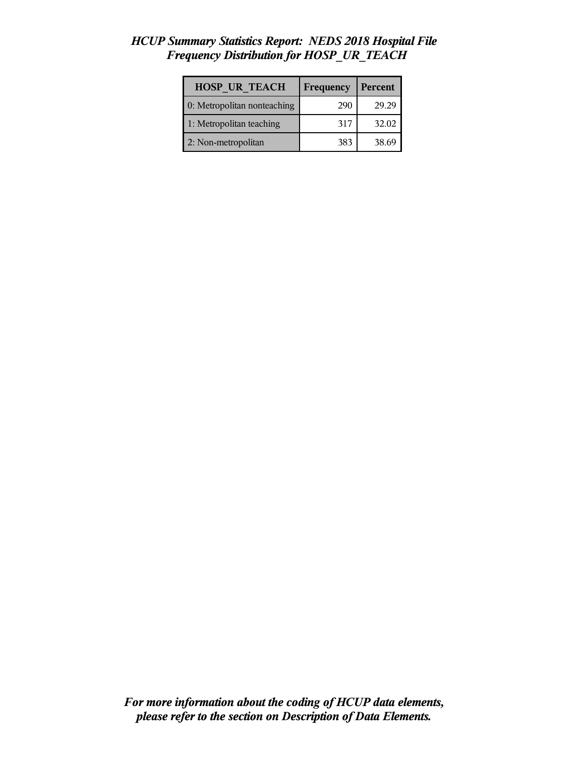# *HCUP Summary Statistics Report: NEDS 2018 Hospital File Frequency Distribution for HOSP\_UR\_TEACH*

| <b>HOSP UR TEACH</b>        | Frequency | Percent |
|-----------------------------|-----------|---------|
| 0: Metropolitan nonteaching | 290       | 29.29   |
| 1: Metropolitan teaching    | 317       | 32.02   |
| 2: Non-metropolitan         | 383       | 38.69   |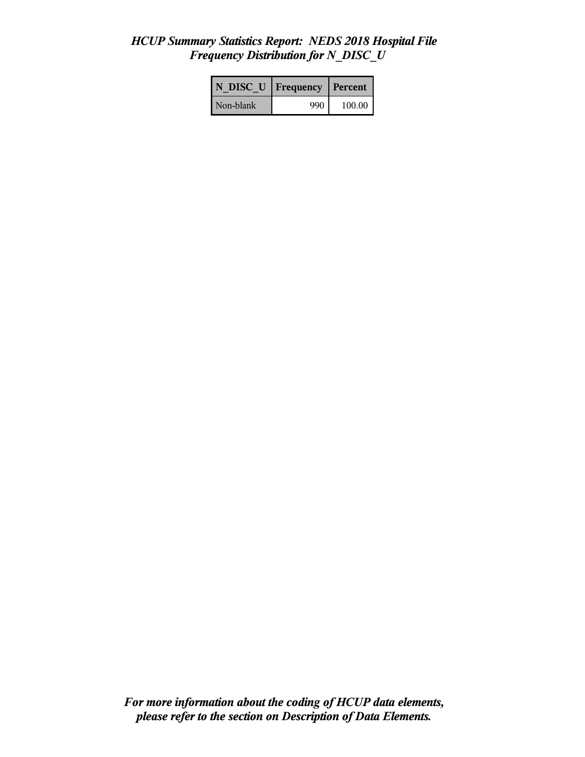## *HCUP Summary Statistics Report: NEDS 2018 Hospital File Frequency Distribution for N\_DISC\_U*

| N DISC U   Frequency |     | l Percent |
|----------------------|-----|-----------|
| Non-blank            | 990 | 100.00    |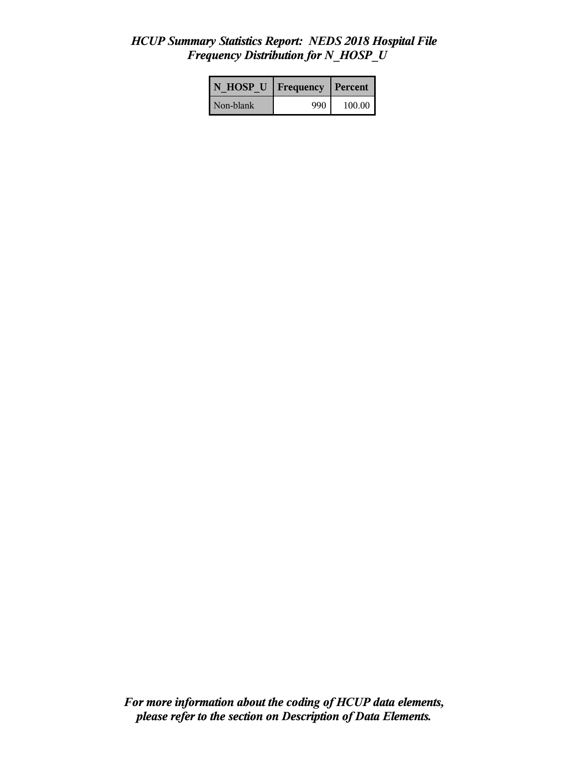## *HCUP Summary Statistics Report: NEDS 2018 Hospital File Frequency Distribution for N\_HOSP\_U*

| N HOSP U Frequency |     | Percent |
|--------------------|-----|---------|
| Non-blank          | 990 | 100.00  |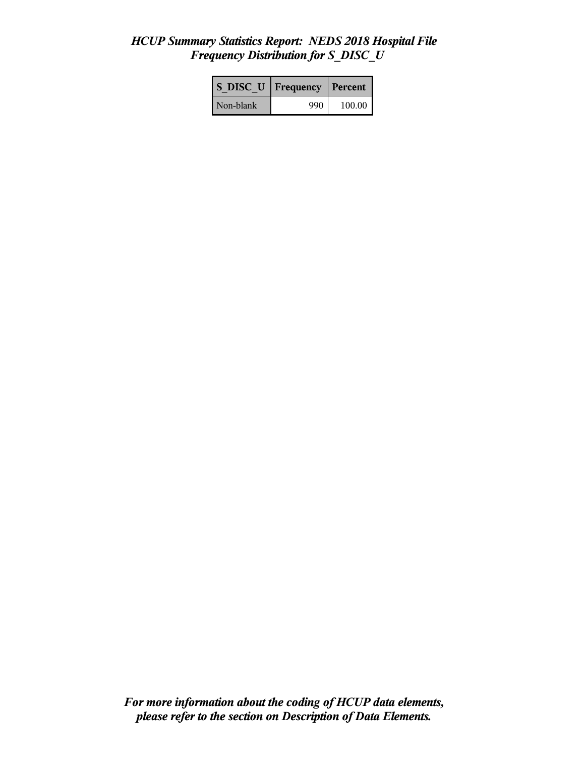## *HCUP Summary Statistics Report: NEDS 2018 Hospital File Frequency Distribution for S\_DISC\_U*

| S DISC U  | Frequency | Percent |
|-----------|-----------|---------|
| Non-blank | 990       | 100.00  |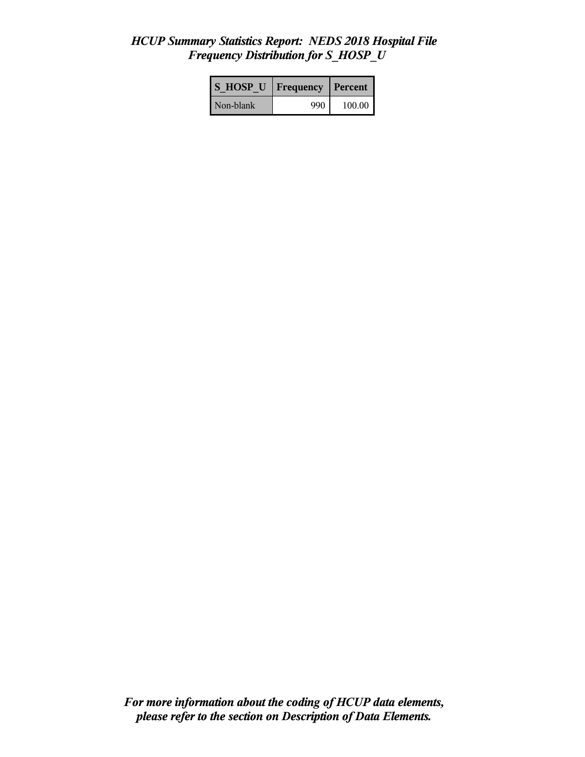## *HCUP Summary Statistics Report: NEDS 2018 Hospital File Frequency Distribution for S\_HOSP\_U*

| <b>S HOSP U</b> | <b>Frequency</b> | Percent |
|-----------------|------------------|---------|
| Non-blank       | 990              | 100.00  |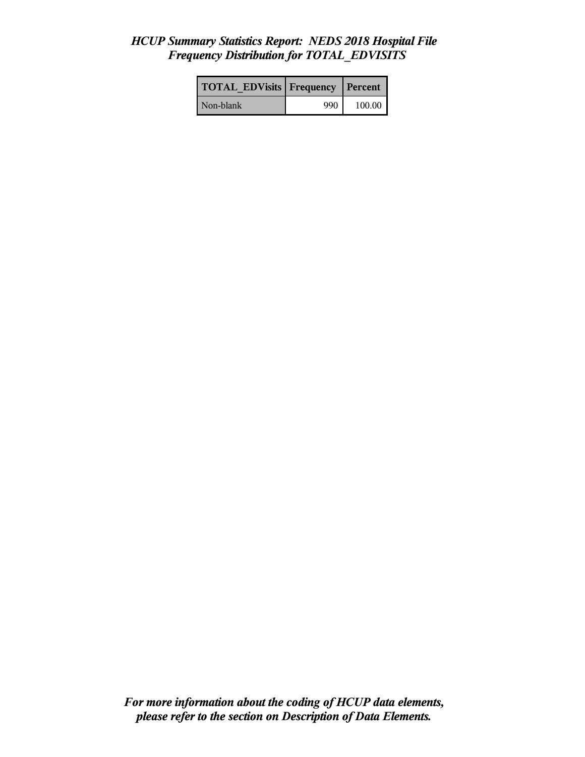### *HCUP Summary Statistics Report: NEDS 2018 Hospital File Frequency Distribution for TOTAL\_EDVISITS*

| <b>TOTAL EDVisits Frequency Percent</b> |     |        |
|-----------------------------------------|-----|--------|
| Non-blank                               | 990 | 100.00 |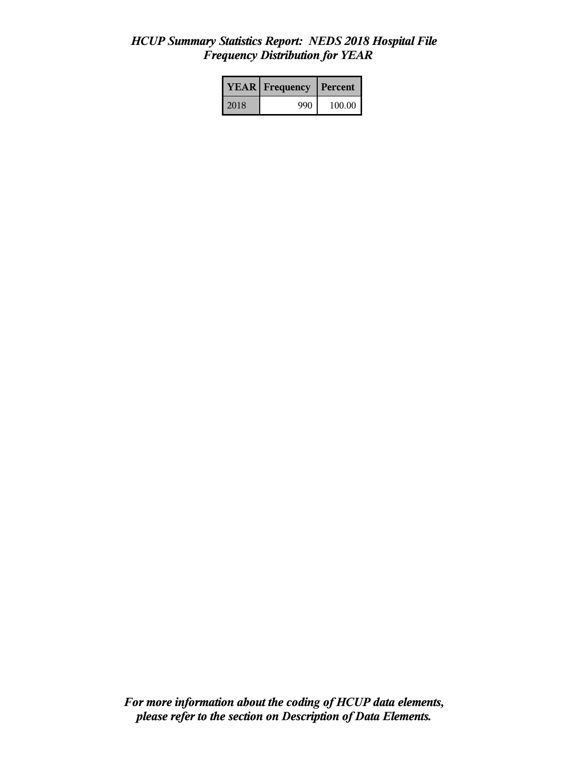## *HCUP Summary Statistics Report: NEDS 2018 Hospital File Frequency Distribution for YEAR*

|      | <b>YEAR</b> Frequency<br><b>Percent</b> |        |
|------|-----------------------------------------|--------|
| 2018 | 990                                     | 100.00 |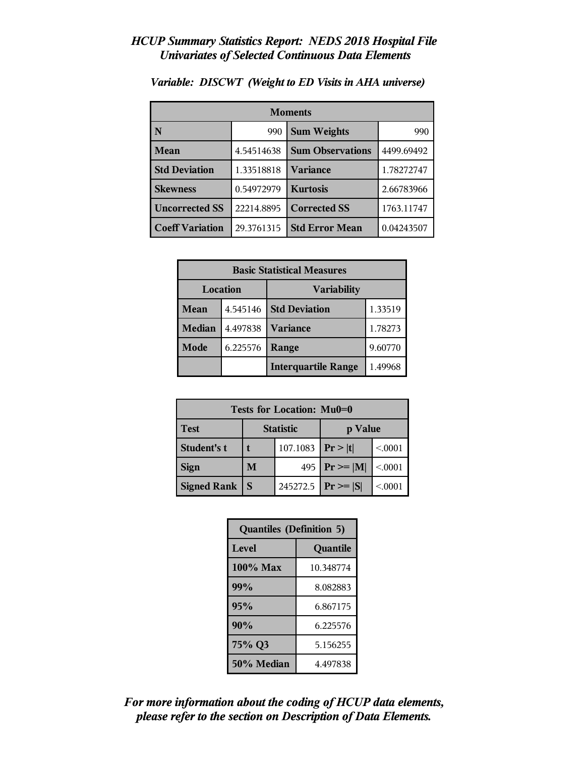| <b>Moments</b>         |            |                         |            |
|------------------------|------------|-------------------------|------------|
| N                      | 990        | <b>Sum Weights</b>      | 990        |
| <b>Mean</b>            | 4.54514638 | <b>Sum Observations</b> | 4499.69492 |
| <b>Std Deviation</b>   | 1.33518818 | Variance                | 1.78272747 |
| <b>Skewness</b>        | 0.54972979 | <b>Kurtosis</b>         | 2.66783966 |
| <b>Uncorrected SS</b>  | 22214.8895 | <b>Corrected SS</b>     | 1763.11747 |
| <b>Coeff Variation</b> | 29.3761315 | <b>Std Error Mean</b>   | 0.04243507 |

*Variable: DISCWT (Weight to ED Visits in AHA universe)*

| <b>Basic Statistical Measures</b> |          |                            |         |
|-----------------------------------|----------|----------------------------|---------|
| Location                          |          | <b>Variability</b>         |         |
| Mean                              | 4.545146 | <b>Std Deviation</b>       | 1.33519 |
| <b>Median</b>                     | 4.497838 | <b>Variance</b>            | 1.78273 |
| Mode                              | 6.225576 | Range                      | 9.60770 |
|                                   |          | <b>Interquartile Range</b> | 1.49968 |

| Tests for Location: Mu0=0 |          |                  |               |         |
|---------------------------|----------|------------------|---------------|---------|
| <b>Test</b>               |          | <b>Statistic</b> | p Value       |         |
| <b>Student's t</b>        | 107.1083 |                  | Pr> t         | < 0.001 |
| <b>Sign</b>               | M        | 495              | $Pr \geq  M $ | < 0.001 |
| <b>Signed Rank</b>        | S        | 245272.5         | $ Pr \ge  S $ | < 0.001 |

| <b>Quantiles (Definition 5)</b> |           |  |
|---------------------------------|-----------|--|
| Level                           | Quantile  |  |
| 100% Max                        | 10.348774 |  |
| 99%                             | 8.082883  |  |
| 95%                             | 6.867175  |  |
| 90%                             | 6.225576  |  |
| 75% Q3<br>5.156255              |           |  |
| 50% Median<br>4.497838          |           |  |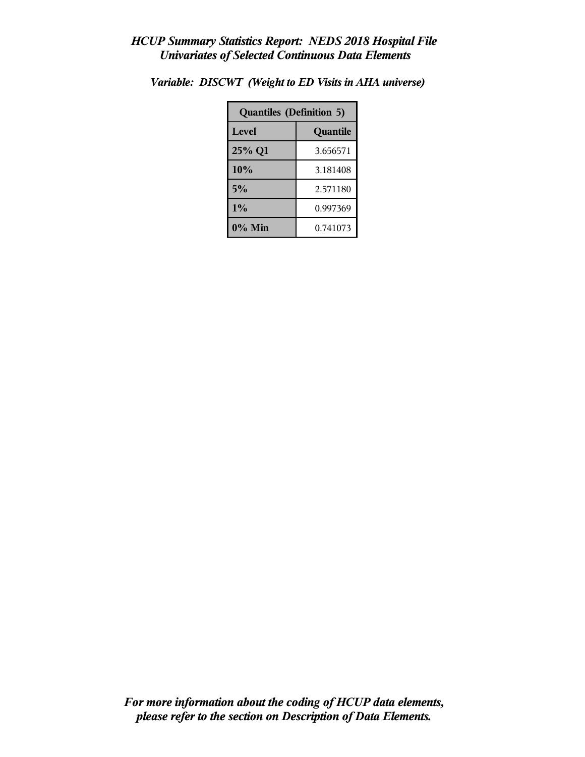| <b>Quantiles (Definition 5)</b> |          |  |
|---------------------------------|----------|--|
| Level                           | Quantile |  |
| 25% Q1                          | 3.656571 |  |
| 10%                             | 3.181408 |  |
| 5%                              | 2.571180 |  |
| $1\%$<br>0.997369               |          |  |
| $0\%$ Min                       | 0.741073 |  |

*Variable: DISCWT (Weight to ED Visits in AHA universe)*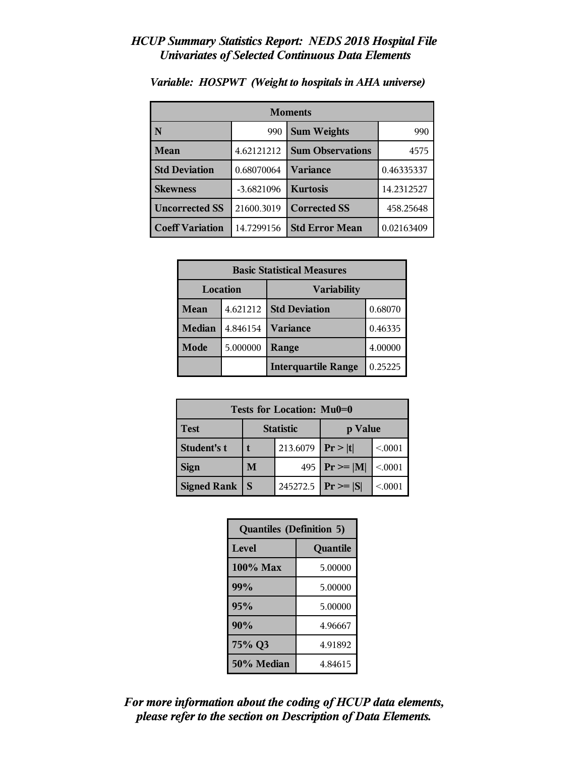| <b>Moments</b>         |                           |                         |            |
|------------------------|---------------------------|-------------------------|------------|
| N                      | <b>Sum Weights</b><br>990 |                         | 990        |
| <b>Mean</b>            | 4.62121212                | <b>Sum Observations</b> | 4575       |
| <b>Std Deviation</b>   | 0.68070064                | Variance                | 0.46335337 |
| <b>Skewness</b>        | $-3.6821096$              | <b>Kurtosis</b>         | 14.2312527 |
| <b>Uncorrected SS</b>  | 21600.3019                | <b>Corrected SS</b>     | 458.25648  |
| <b>Coeff Variation</b> | 14.7299156                | <b>Std Error Mean</b>   | 0.02163409 |

*Variable: HOSPWT (Weight to hospitals in AHA universe)*

| <b>Basic Statistical Measures</b> |          |                            |         |
|-----------------------------------|----------|----------------------------|---------|
| Location                          |          | <b>Variability</b>         |         |
| Mean                              | 4.621212 | <b>Std Deviation</b>       | 0.68070 |
| <b>Median</b>                     | 4.846154 | Variance                   | 0.46335 |
| Mode                              | 5.000000 | Range                      | 4.00000 |
|                                   |          | <b>Interquartile Range</b> | 0.25225 |

| Tests for Location: Mu0=0 |          |                  |                               |          |
|---------------------------|----------|------------------|-------------------------------|----------|
| <b>Test</b>               |          | <b>Statistic</b> | p Value                       |          |
| <b>Student's t</b>        | 213.6079 |                  | Pr >  t                       | < 0.001  |
| <b>Sign</b>               | M        | 495              | $\mathbf{Pr} \geq \mathbf{M}$ | < 0.001  |
| <b>Signed Rank</b>        | S        | 245272.5         | $ Pr \ge  S $                 | < 0.0001 |

| <b>Quantiles (Definition 5)</b> |          |  |
|---------------------------------|----------|--|
| Level                           | Quantile |  |
| $100\%$ Max                     | 5.00000  |  |
| 99%                             | 5.00000  |  |
| 95%                             | 5.00000  |  |
| 90%<br>4.96667                  |          |  |
| 75% Q3<br>4.91892               |          |  |
| 50% Median<br>4.84615           |          |  |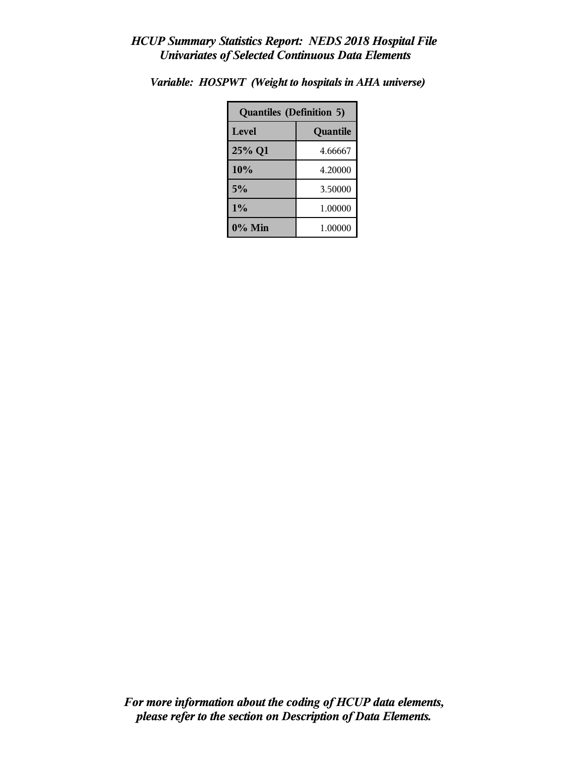| <b>Quantiles (Definition 5)</b> |          |  |
|---------------------------------|----------|--|
| Level                           | Quantile |  |
| 25% Q1                          | 4.66667  |  |
| 10%                             | 4.20000  |  |
| 5%                              | 3.50000  |  |
| 1%                              | 1.00000  |  |
| 0% Min                          | 1.00000  |  |

*Variable: HOSPWT (Weight to hospitals in AHA universe)*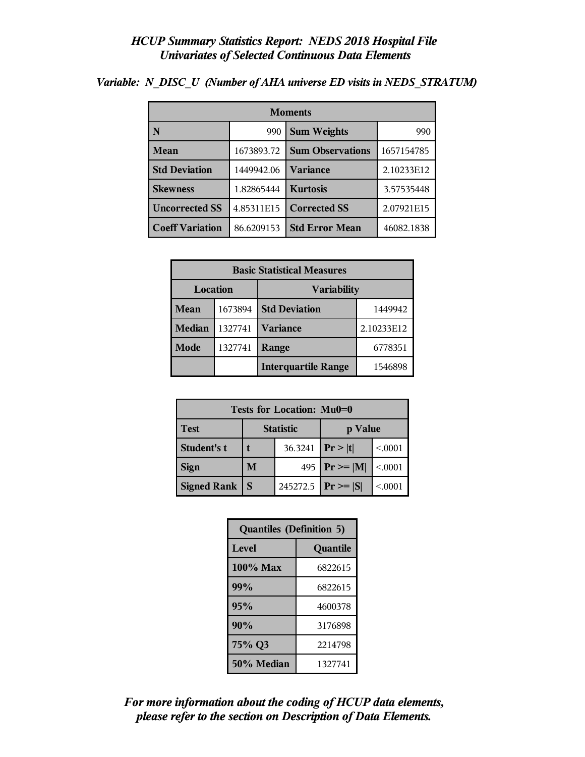| <b>Moments</b>         |            |                         |            |  |
|------------------------|------------|-------------------------|------------|--|
| N                      | 990        | <b>Sum Weights</b>      | 990        |  |
| <b>Mean</b>            | 1673893.72 | <b>Sum Observations</b> | 1657154785 |  |
| <b>Std Deviation</b>   | 1449942.06 | <b>Variance</b>         | 2.10233E12 |  |
| <b>Skewness</b>        | 1.82865444 | <b>Kurtosis</b>         | 3.57535448 |  |
| <b>Uncorrected SS</b>  | 4.85311E15 | <b>Corrected SS</b>     | 2.07921E15 |  |
| <b>Coeff Variation</b> | 86.6209153 | <b>Std Error Mean</b>   | 46082.1838 |  |

*Variable: N\_DISC\_U (Number of AHA universe ED visits in NEDS\_STRATUM)*

| <b>Basic Statistical Measures</b> |         |                                 |            |  |
|-----------------------------------|---------|---------------------------------|------------|--|
| Location<br><b>Variability</b>    |         |                                 |            |  |
| Mean                              | 1673894 | <b>Std Deviation</b><br>1449942 |            |  |
| <b>Median</b>                     | 1327741 | <b>Variance</b>                 | 2.10233E12 |  |
| <b>Mode</b>                       | 1327741 | Range                           | 6778351    |  |
|                                   |         | <b>Interquartile Range</b>      | 1546898    |  |

| Tests for Location: Mu0=0 |                             |          |                 |         |  |
|---------------------------|-----------------------------|----------|-----------------|---------|--|
| <b>Test</b>               | <b>Statistic</b><br>p Value |          |                 |         |  |
| Student's t               |                             | 36.3241  | Pr >  t         | < 0.001 |  |
| <b>Sign</b>               | 495<br>M                    |          | $ Pr \ge =  M $ | < 0.001 |  |
| <b>Signed Rank</b>        | S                           | 245272.5 | $ Pr \ge =  S $ | < 0.001 |  |

| <b>Quantiles (Definition 5)</b> |         |  |
|---------------------------------|---------|--|
| Level<br>Quantile               |         |  |
| 100% Max                        | 6822615 |  |
| 99%                             | 6822615 |  |
| 95%                             | 4600378 |  |
| 90%                             | 3176898 |  |
| 75% Q3<br>2214798               |         |  |
| 50% Median<br>1327741           |         |  |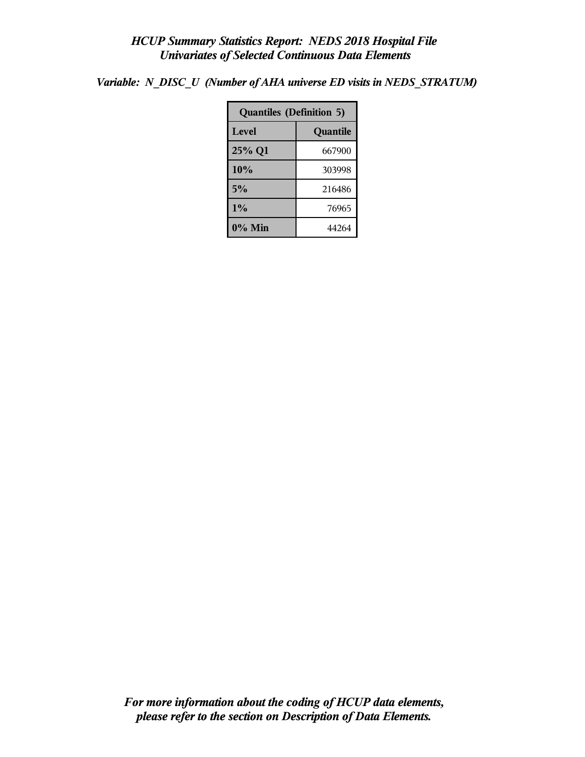*Variable: N\_DISC\_U (Number of AHA universe ED visits in NEDS\_STRATUM)*

| <b>Quantiles (Definition 5)</b> |          |  |
|---------------------------------|----------|--|
| Level                           | Quantile |  |
| 25% Q1                          | 667900   |  |
| 10%                             | 303998   |  |
| 5%                              | 216486   |  |
| 1%                              | 76965    |  |
| $0\%$ Min                       | 44264    |  |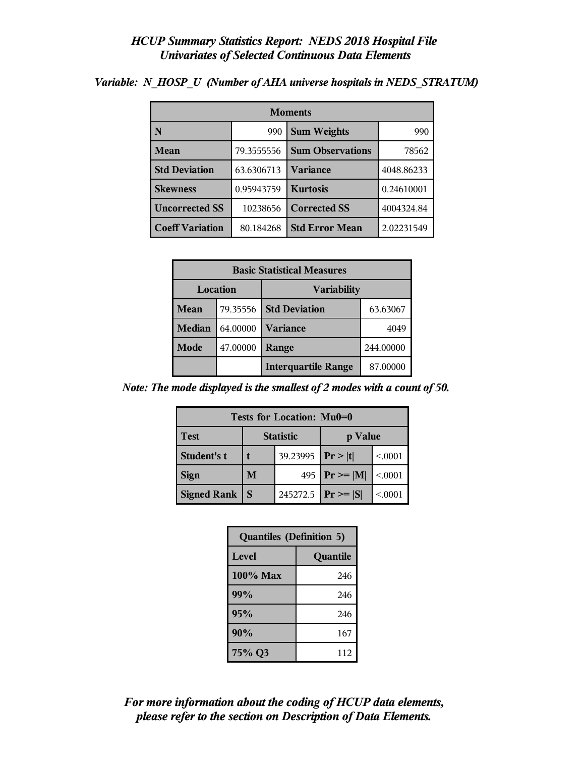| <b>Moments</b>         |            |                         |            |  |
|------------------------|------------|-------------------------|------------|--|
| N                      | 990        | <b>Sum Weights</b>      | 990        |  |
| Mean                   | 79.3555556 | <b>Sum Observations</b> | 78562      |  |
| <b>Std Deviation</b>   | 63.6306713 | Variance                | 4048.86233 |  |
| <b>Skewness</b>        | 0.95943759 | <b>Kurtosis</b>         | 0.24610001 |  |
| <b>Uncorrected SS</b>  | 10238656   | <b>Corrected SS</b>     | 4004324.84 |  |
| <b>Coeff Variation</b> | 80.184268  | <b>Std Error Mean</b>   | 2.02231549 |  |

*Variable: N\_HOSP\_U (Number of AHA universe hospitals in NEDS\_STRATUM)*

| <b>Basic Statistical Measures</b> |          |                                  |           |  |
|-----------------------------------|----------|----------------------------------|-----------|--|
| Location<br><b>Variability</b>    |          |                                  |           |  |
| Mean                              | 79.35556 | <b>Std Deviation</b><br>63.63067 |           |  |
| Median                            | 64.00000 | <b>Variance</b><br>4049          |           |  |
| <b>Mode</b>                       | 47.00000 | Range                            | 244.00000 |  |
|                                   |          | <b>Interquartile Range</b>       | 87.00000  |  |

*Note: The mode displayed is the smallest of 2 modes with a count of 50.*

| Tests for Location: Mu0=0                  |          |  |                         |         |  |
|--------------------------------------------|----------|--|-------------------------|---------|--|
| <b>Statistic</b><br><b>Test</b><br>p Value |          |  |                         |         |  |
| <b>Student's t</b>                         | 39.23995 |  | Pr> t                   | < 0.001 |  |
| <b>Sign</b>                                | M        |  | 495   $Pr \ge  M $      | < 0.001 |  |
| <b>Signed Rank</b>                         |          |  | 245272.5   $Pr \ge  S $ | < 0001  |  |

| <b>Quantiles (Definition 5)</b> |          |  |
|---------------------------------|----------|--|
| Level                           | Quantile |  |
| $100\%$ Max                     | 246      |  |
| 99%                             | 246      |  |
| 95%                             | 246      |  |
| 90%                             | 167      |  |
| 75% Q3                          | 112      |  |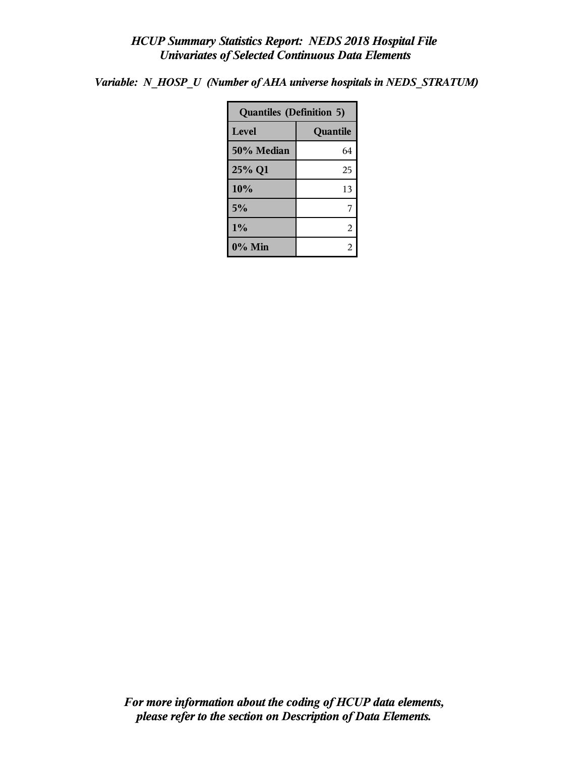*Variable: N\_HOSP\_U (Number of AHA universe hospitals in NEDS\_STRATUM)*

| <b>Quantiles (Definition 5)</b> |    |  |
|---------------------------------|----|--|
| Level<br>Quantile               |    |  |
| 50% Median                      | 64 |  |
| 25% Q1                          | 25 |  |
| 10%                             | 13 |  |
| 5%                              |    |  |
| $1\%$                           | 2  |  |
| $0\%$ Min                       |    |  |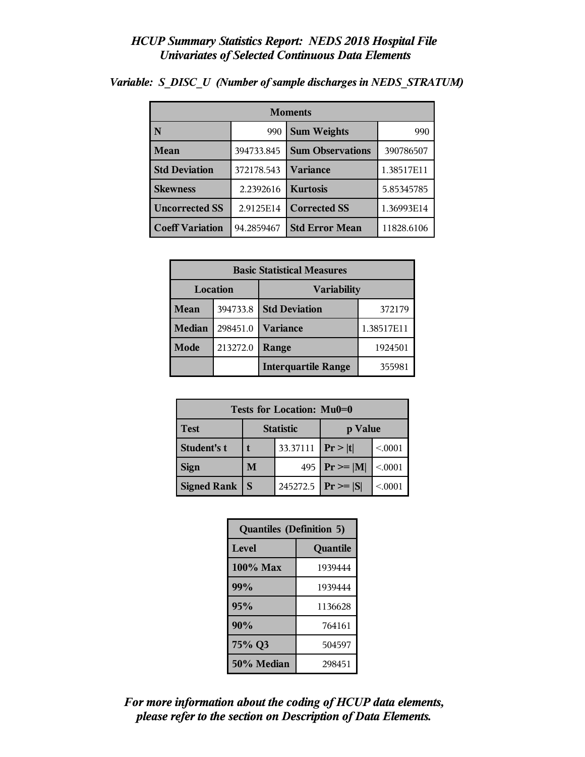| <b>Moments</b>         |            |                         |            |
|------------------------|------------|-------------------------|------------|
| N                      | 990        | <b>Sum Weights</b>      | 990        |
| Mean                   | 394733.845 | <b>Sum Observations</b> | 390786507  |
| <b>Std Deviation</b>   | 372178.543 | <b>Variance</b>         | 1.38517E11 |
| <b>Skewness</b>        | 2.2392616  | <b>Kurtosis</b>         | 5.85345785 |
| <b>Uncorrected SS</b>  | 2.9125E14  | <b>Corrected SS</b>     | 1.36993E14 |
| <b>Coeff Variation</b> | 94.2859467 | <b>Std Error Mean</b>   | 11828.6106 |

*Variable: S\_DISC\_U (Number of sample discharges in NEDS\_STRATUM)*

| <b>Basic Statistical Measures</b> |          |                            |            |  |  |
|-----------------------------------|----------|----------------------------|------------|--|--|
| Location<br><b>Variability</b>    |          |                            |            |  |  |
| Mean                              | 394733.8 | <b>Std Deviation</b>       | 372179     |  |  |
| <b>Median</b>                     | 298451.0 | <b>Variance</b>            | 1.38517E11 |  |  |
| Mode                              | 213272.0 | Range                      | 1924501    |  |  |
|                                   |          | <b>Interquartile Range</b> | 355981     |  |  |

| Tests for Location: Mu0=0 |                             |          |                    |         |  |  |
|---------------------------|-----------------------------|----------|--------------------|---------|--|--|
| Test                      | <b>Statistic</b><br>p Value |          |                    |         |  |  |
| Student's t               | 33.37111                    |          | Pr >  t            | < 0.001 |  |  |
| <b>Sign</b>               | M                           |          | 495   $Pr \ge  M $ | < .0001 |  |  |
| <b>Signed Rank</b><br>S   |                             | 245272.5 | $ Pr \ge  S $      | < 0.001 |  |  |

| <b>Quantiles (Definition 5)</b> |         |  |  |
|---------------------------------|---------|--|--|
| Level<br>Quantile               |         |  |  |
| 100% Max                        | 1939444 |  |  |
| 99%                             | 1939444 |  |  |
| 95%                             | 1136628 |  |  |
| 90%                             | 764161  |  |  |
| 75% Q3                          | 504597  |  |  |
| 50% Median                      | 298451  |  |  |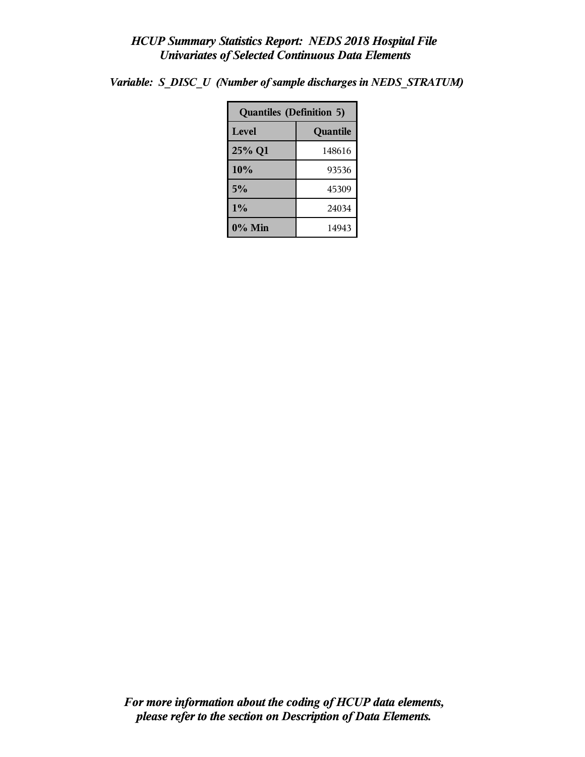| <b>Quantiles (Definition 5)</b> |          |  |  |
|---------------------------------|----------|--|--|
| Level                           | Quantile |  |  |
| 25% Q1                          | 148616   |  |  |
| 10%                             | 93536    |  |  |
| 5%                              | 45309    |  |  |
| 1%                              | 24034    |  |  |
| 0% Min                          | 14943    |  |  |

*Variable: S\_DISC\_U (Number of sample discharges in NEDS\_STRATUM)*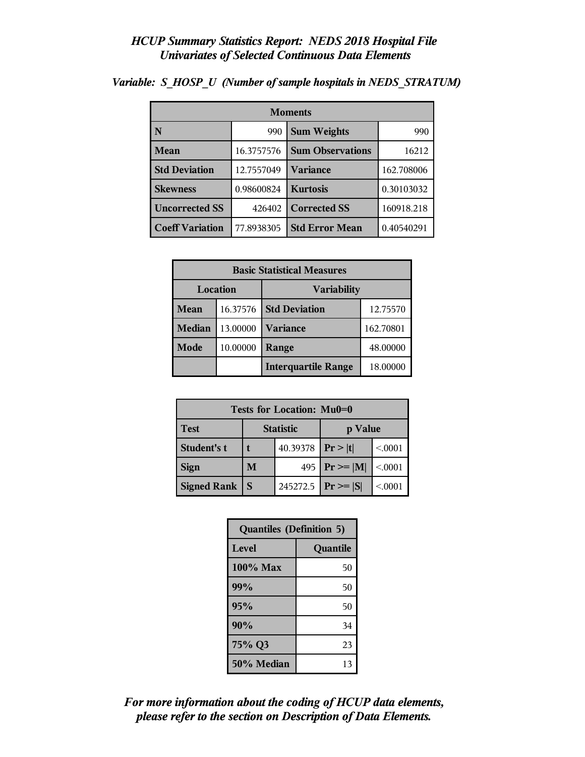| <b>Moments</b>                     |            |                         |            |  |  |
|------------------------------------|------------|-------------------------|------------|--|--|
| N                                  | 990        | <b>Sum Weights</b>      | 990        |  |  |
| Mean                               | 16.3757576 | <b>Sum Observations</b> | 16212      |  |  |
| <b>Std Deviation</b><br>12.7557049 |            | Variance                | 162.708006 |  |  |
| <b>Skewness</b>                    | 0.98600824 | <b>Kurtosis</b>         | 0.30103032 |  |  |
| <b>Uncorrected SS</b><br>426402    |            | <b>Corrected SS</b>     | 160918.218 |  |  |
| <b>Coeff Variation</b>             | 77.8938305 | <b>Std Error Mean</b>   | 0.40540291 |  |  |

*Variable: S\_HOSP\_U (Number of sample hospitals in NEDS\_STRATUM)*

| <b>Basic Statistical Measures</b> |          |                            |           |  |  |
|-----------------------------------|----------|----------------------------|-----------|--|--|
| Location<br><b>Variability</b>    |          |                            |           |  |  |
| <b>Mean</b>                       | 16.37576 | <b>Std Deviation</b>       | 12.75570  |  |  |
| <b>Median</b>                     | 13.00000 | <b>Variance</b>            | 162.70801 |  |  |
| Mode                              | 10.00000 | Range                      | 48.00000  |  |  |
|                                   |          | <b>Interquartile Range</b> | 18.00000  |  |  |

| Tests for Location: Mu0=0 |                             |          |               |         |  |  |
|---------------------------|-----------------------------|----------|---------------|---------|--|--|
| <b>Test</b>               | <b>Statistic</b><br>p Value |          |               |         |  |  |
| Student's t               |                             | 40.39378 | Pr >  t       | < 0001  |  |  |
| <b>Sign</b>               | M<br>495                    |          | $Pr \geq  M $ | < 0.001 |  |  |
| <b>Signed Rank</b>        | S                           |          | $ Pr \ge  S $ | < 0.001 |  |  |

| <b>Quantiles (Definition 5)</b> |          |  |  |
|---------------------------------|----------|--|--|
| <b>Level</b>                    | Quantile |  |  |
| $100\%$ Max                     | 50       |  |  |
| 99%                             | 50       |  |  |
| 95%                             | 50       |  |  |
| 90%                             | 34       |  |  |
| 75% Q3                          | 23       |  |  |
| 50% Median                      | 13       |  |  |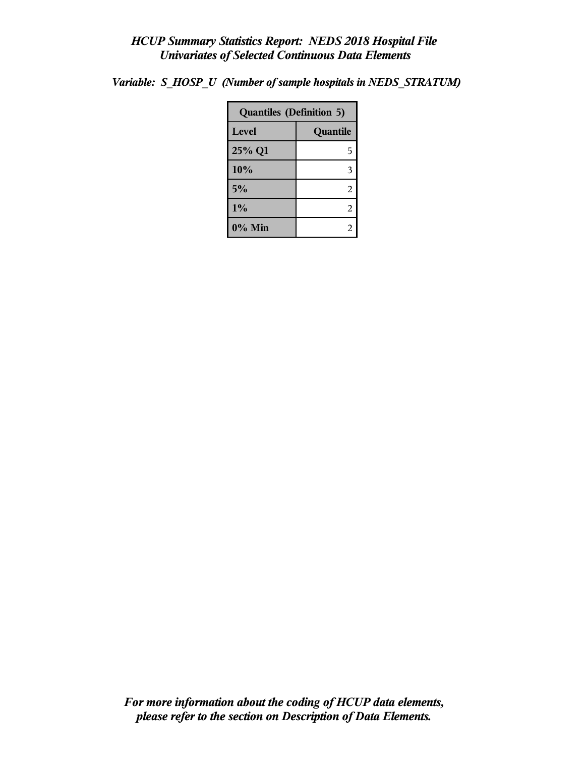| <b>Quantiles (Definition 5)</b> |          |  |
|---------------------------------|----------|--|
| Level                           | Quantile |  |
| 25% Q1                          | 5        |  |
| 10%                             | 3        |  |
| 5%                              | 2        |  |
| 1%                              | 2        |  |
| 0% Min                          | 2        |  |

*Variable: S\_HOSP\_U (Number of sample hospitals in NEDS\_STRATUM)*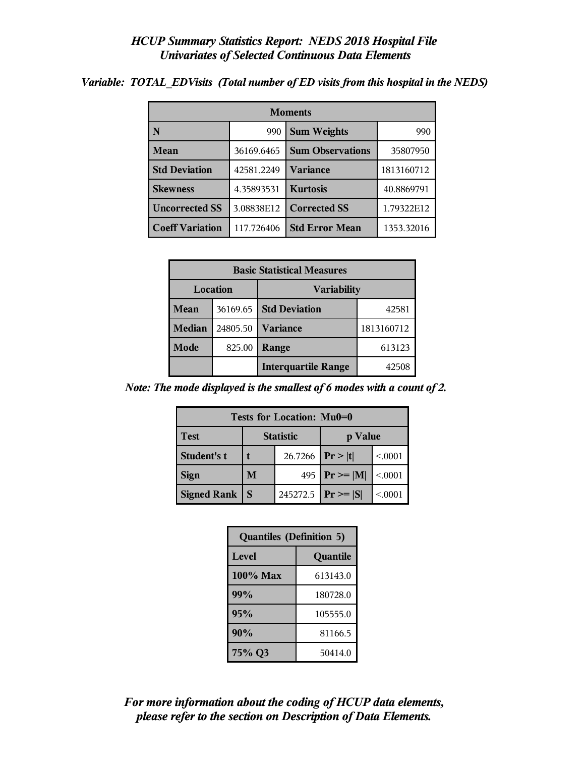| <b>Moments</b>                      |            |                         |            |  |  |
|-------------------------------------|------------|-------------------------|------------|--|--|
|                                     | 990        | <b>Sum Weights</b>      | 990        |  |  |
| <b>Mean</b>                         | 36169.6465 | <b>Sum Observations</b> | 35807950   |  |  |
| <b>Std Deviation</b>                | 42581.2249 | Variance                | 1813160712 |  |  |
| <b>Skewness</b>                     | 4.35893531 | <b>Kurtosis</b>         | 40.8869791 |  |  |
| <b>Uncorrected SS</b><br>3.08838E12 |            | <b>Corrected SS</b>     | 1.79322E12 |  |  |
| <b>Coeff Variation</b>              | 117.726406 | <b>Std Error Mean</b>   | 1353.32016 |  |  |

*Variable: TOTAL\_EDVisits (Total number of ED visits from this hospital in the NEDS)*

| <b>Basic Statistical Measures</b> |          |                            |            |  |  |
|-----------------------------------|----------|----------------------------|------------|--|--|
| Location<br><b>Variability</b>    |          |                            |            |  |  |
| Mean                              | 36169.65 | <b>Std Deviation</b>       | 42581      |  |  |
| <b>Median</b>                     | 24805.50 | <b>Variance</b>            | 1813160712 |  |  |
| Mode                              | 825.00   | Range                      | 613123     |  |  |
|                                   |          | <b>Interquartile Range</b> | 42508      |  |  |

*Note: The mode displayed is the smallest of 6 modes with a count of 2.*

| Tests for Location: Mu0=0                  |                      |  |                         |         |  |  |
|--------------------------------------------|----------------------|--|-------------------------|---------|--|--|
| <b>Statistic</b><br><b>Test</b><br>p Value |                      |  |                         |         |  |  |
| Student's t                                | 26.7266   $Pr >  t $ |  |                         | < 0.001 |  |  |
| <b>Sign</b>                                | M                    |  | 495   $Pr \ge  M $      | < 0.001 |  |  |
| Signed Rank                                | <b>S</b>             |  | 245272.5   $Pr \ge  S $ | < 0001  |  |  |

| <b>Quantiles (Definition 5)</b> |          |
|---------------------------------|----------|
| <b>Level</b>                    | Quantile |
| $100\%$ Max                     | 613143.0 |
| 99%                             | 180728.0 |
| 95%                             | 105555.0 |
| 90%                             | 81166.5  |
| 75% Q3                          | 50414.0  |